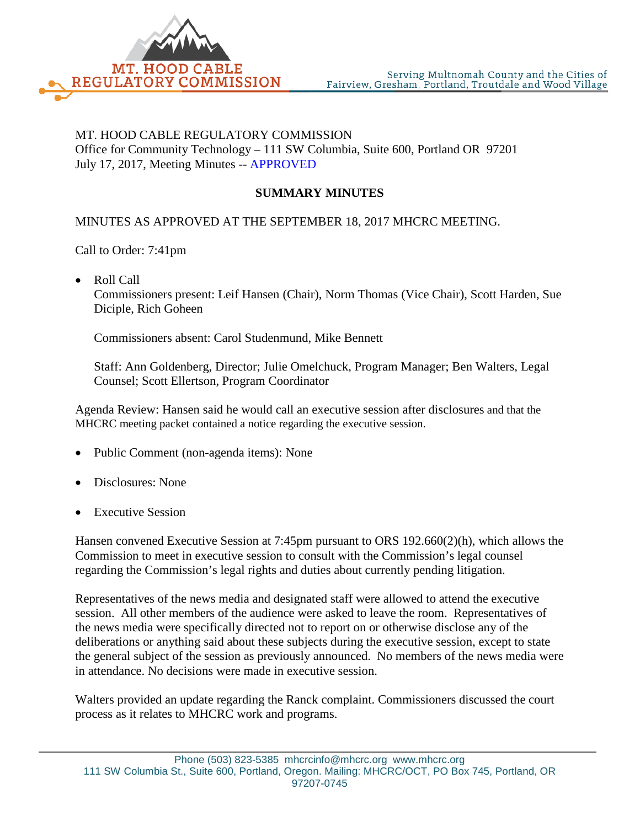

## MT. HOOD CABLE REGULATORY COMMISSION Office for Community Technology – 111 SW Columbia, Suite 600, Portland OR 97201 July 17, 2017, Meeting Minutes -- APPROVED

## **SUMMARY MINUTES**

## MINUTES AS APPROVED AT THE SEPTEMBER 18, 2017 MHCRC MEETING.

Call to Order: 7:41pm

• Roll Call

Commissioners present: Leif Hansen (Chair), Norm Thomas (Vice Chair), Scott Harden, Sue Diciple, Rich Goheen

Commissioners absent: Carol Studenmund, Mike Bennett

Staff: Ann Goldenberg, Director; Julie Omelchuck, Program Manager; Ben Walters, Legal Counsel; Scott Ellertson, Program Coordinator

Agenda Review: Hansen said he would call an executive session after disclosures and that the MHCRC meeting packet contained a notice regarding the executive session.

- Public Comment (non-agenda items): None
- Disclosures: None
- **Executive Session**

Hansen convened Executive Session at 7:45pm pursuant to ORS 192.660(2)(h), which allows the Commission to meet in executive session to consult with the Commission's legal counsel regarding the Commission's legal rights and duties about currently pending litigation.

Representatives of the news media and designated staff were allowed to attend the executive session. All other members of the audience were asked to leave the room. Representatives of the news media were specifically directed not to report on or otherwise disclose any of the deliberations or anything said about these subjects during the executive session, except to state the general subject of the session as previously announced. No members of the news media were in attendance. No decisions were made in executive session.

Walters provided an update regarding the Ranck complaint. Commissioners discussed the court process as it relates to MHCRC work and programs.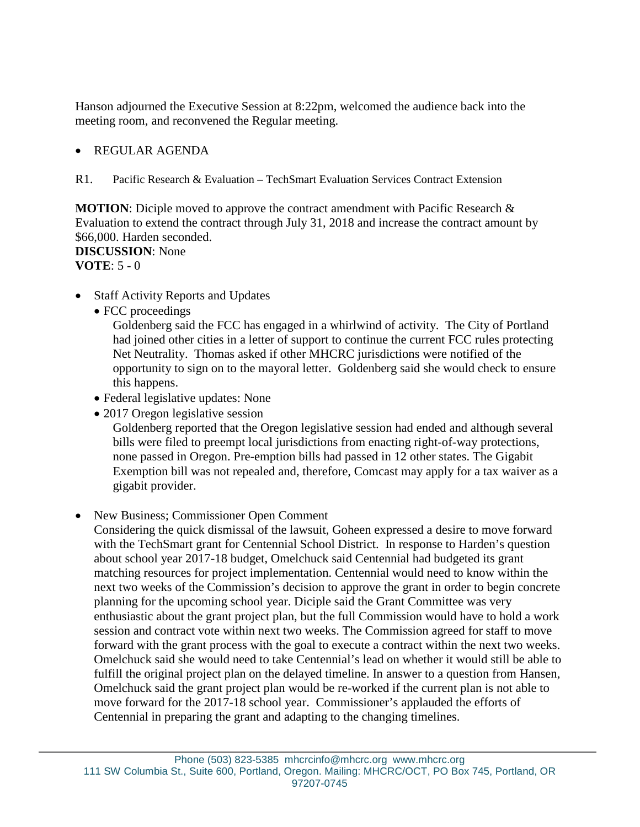Hanson adjourned the Executive Session at 8:22pm, welcomed the audience back into the meeting room, and reconvened the Regular meeting.

## • REGULAR AGENDA

R1. Pacific Research & Evaluation – TechSmart Evaluation Services Contract Extension

**MOTION**: Diciple moved to approve the contract amendment with Pacific Research & Evaluation to extend the contract through July 31, 2018 and increase the contract amount by \$66,000. Harden seconded. **DISCUSSION**: None **VOTE**: 5 - 0

- Staff Activity Reports and Updates
	- FCC proceedings

Goldenberg said the FCC has engaged in a whirlwind of activity. The City of Portland had joined other cities in a letter of support to continue the current FCC rules protecting Net Neutrality. Thomas asked if other MHCRC jurisdictions were notified of the opportunity to sign on to the mayoral letter. Goldenberg said she would check to ensure this happens.

- Federal legislative updates: None
- 2017 Oregon legislative session

Goldenberg reported that the Oregon legislative session had ended and although several bills were filed to preempt local jurisdictions from enacting right-of-way protections, none passed in Oregon. Pre-emption bills had passed in 12 other states. The Gigabit Exemption bill was not repealed and, therefore, Comcast may apply for a tax waiver as a gigabit provider.

• New Business; Commissioner Open Comment

Considering the quick dismissal of the lawsuit, Goheen expressed a desire to move forward with the TechSmart grant for Centennial School District. In response to Harden's question about school year 2017-18 budget, Omelchuck said Centennial had budgeted its grant matching resources for project implementation. Centennial would need to know within the next two weeks of the Commission's decision to approve the grant in order to begin concrete planning for the upcoming school year. Diciple said the Grant Committee was very enthusiastic about the grant project plan, but the full Commission would have to hold a work session and contract vote within next two weeks. The Commission agreed for staff to move forward with the grant process with the goal to execute a contract within the next two weeks. Omelchuck said she would need to take Centennial's lead on whether it would still be able to fulfill the original project plan on the delayed timeline. In answer to a question from Hansen, Omelchuck said the grant project plan would be re-worked if the current plan is not able to move forward for the 2017-18 school year. Commissioner's applauded the efforts of Centennial in preparing the grant and adapting to the changing timelines.